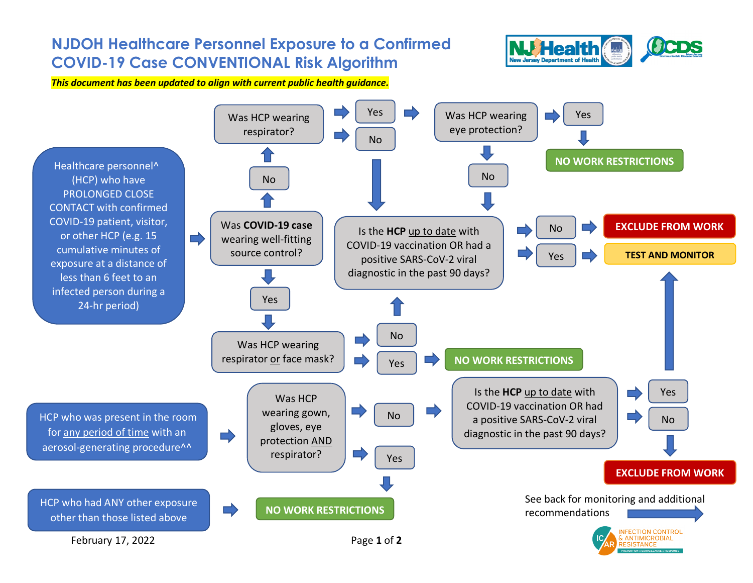## **NJDOH Healthcare Personnel Exposure to a Confirmed FHealth COVID-19 Case CONVENTIONAL Risk Algorithm New Jersey Department of Health** *This document has been updated to align with current public health guidance.* Yes Was HCP wearing Yes Was HCP wearing